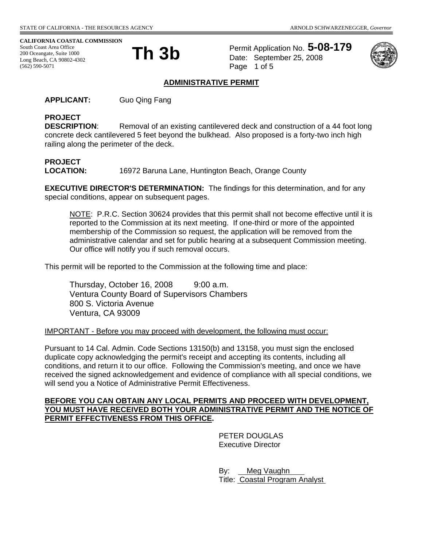#### **CALIFORNIA COASTAL COMMISSION**

South Coast Area Office<br>200 Oceangate, Suite 1000<br>Long Basek, CA, 00902, 4202 200 Oceangate, Suite 1000 Long Beach, CA 90802-4302 (562) 590-5071



Permit Application No. **5-08-179** Date: September 25, 2008 Page 1 of 5



#### **ADMINISTRATIVE PERMIT**

**APPLICANT:** Guo Qing Fang

# **PROJECT**

**DESCRIPTION:** Removal of an existing cantilevered deck and construction of a 44 foot long concrete deck cantilevered 5 feet beyond the bulkhead. Also proposed is a forty-two inch high railing along the perimeter of the deck.

# **PROJECT**

**LOCATION:** 16972 Baruna Lane, Huntington Beach, Orange County

**EXECUTIVE DIRECTOR'S DETERMINATION:** The findings for this determination, and for any special conditions, appear on subsequent pages.

NOTE: P.R.C. Section 30624 provides that this permit shall not become effective until it is reported to the Commission at its next meeting. If one-third or more of the appointed membership of the Commission so request, the application will be removed from the administrative calendar and set for public hearing at a subsequent Commission meeting. Our office will notify you if such removal occurs.

This permit will be reported to the Commission at the following time and place:

Thursday, October 16, 2008 9:00 a.m. Ventura County Board of Supervisors Chambers 800 S. Victoria Avenue Ventura, CA 93009

#### IMPORTANT - Before you may proceed with development, the following must occur:

Pursuant to 14 Cal. Admin. Code Sections 13150(b) and 13158, you must sign the enclosed duplicate copy acknowledging the permit's receipt and accepting its contents, including all conditions, and return it to our office. Following the Commission's meeting, and once we have received the signed acknowledgement and evidence of compliance with all special conditions, we will send you a Notice of Administrative Permit Effectiveness.

#### **BEFORE YOU CAN OBTAIN ANY LOCAL PERMITS AND PROCEED WITH DEVELOPMENT, YOU MUST HAVE RECEIVED BOTH YOUR ADMINISTRATIVE PERMIT AND THE NOTICE OF PERMIT EFFECTIVENESS FROM THIS OFFICE.**

 PETER DOUGLAS Executive Director

By: Meg Vaughn Title: Coastal Program Analyst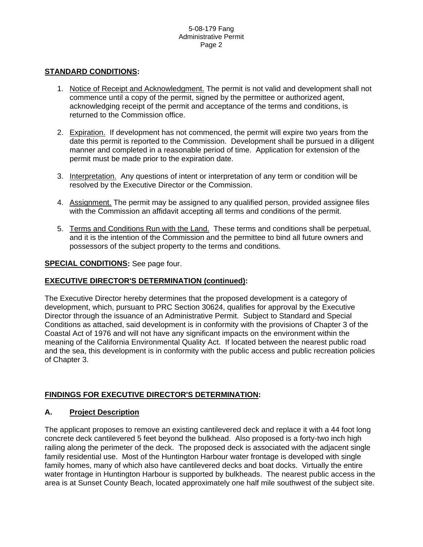#### **STANDARD CONDITIONS:**

- 1. Notice of Receipt and Acknowledgment. The permit is not valid and development shall not commence until a copy of the permit, signed by the permittee or authorized agent, acknowledging receipt of the permit and acceptance of the terms and conditions, is returned to the Commission office.
- 2. Expiration. If development has not commenced, the permit will expire two years from the date this permit is reported to the Commission. Development shall be pursued in a diligent manner and completed in a reasonable period of time. Application for extension of the permit must be made prior to the expiration date.
- 3. Interpretation. Any questions of intent or interpretation of any term or condition will be resolved by the Executive Director or the Commission.
- 4. Assignment. The permit may be assigned to any qualified person, provided assignee files with the Commission an affidavit accepting all terms and conditions of the permit.
- 5. Terms and Conditions Run with the Land. These terms and conditions shall be perpetual, and it is the intention of the Commission and the permittee to bind all future owners and possessors of the subject property to the terms and conditions.

#### **SPECIAL CONDITIONS:** See page four.

#### **EXECUTIVE DIRECTOR'S DETERMINATION (continued):**

The Executive Director hereby determines that the proposed development is a category of development, which, pursuant to PRC Section 30624, qualifies for approval by the Executive Director through the issuance of an Administrative Permit. Subject to Standard and Special Conditions as attached, said development is in conformity with the provisions of Chapter 3 of the Coastal Act of 1976 and will not have any significant impacts on the environment within the meaning of the California Environmental Quality Act. If located between the nearest public road and the sea, this development is in conformity with the public access and public recreation policies of Chapter 3.

#### **FINDINGS FOR EXECUTIVE DIRECTOR'S DETERMINATION:**

#### **A. Project Description**

The applicant proposes to remove an existing cantilevered deck and replace it with a 44 foot long concrete deck cantilevered 5 feet beyond the bulkhead. Also proposed is a forty-two inch high railing along the perimeter of the deck. The proposed deck is associated with the adjacent single family residential use. Most of the Huntington Harbour water frontage is developed with single family homes, many of which also have cantilevered decks and boat docks. Virtually the entire water frontage in Huntington Harbour is supported by bulkheads. The nearest public access in the area is at Sunset County Beach, located approximately one half mile southwest of the subject site.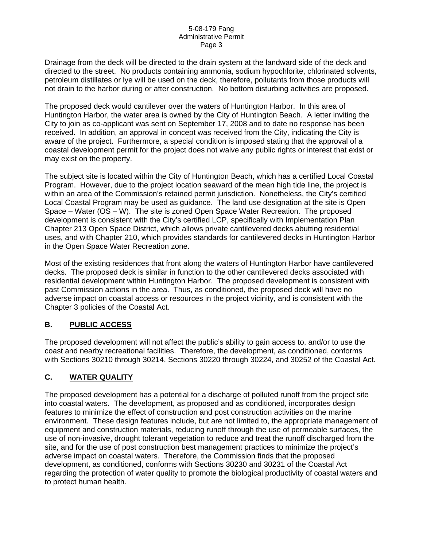Drainage from the deck will be directed to the drain system at the landward side of the deck and directed to the street. No products containing ammonia, sodium hypochlorite, chlorinated solvents, petroleum distillates or lye will be used on the deck, therefore, pollutants from those products will not drain to the harbor during or after construction. No bottom disturbing activities are proposed.

The proposed deck would cantilever over the waters of Huntington Harbor. In this area of Huntington Harbor, the water area is owned by the City of Huntington Beach. A letter inviting the City to join as co-applicant was sent on September 17, 2008 and to date no response has been received. In addition, an approval in concept was received from the City, indicating the City is aware of the project. Furthermore, a special condition is imposed stating that the approval of a coastal development permit for the project does not waive any public rights or interest that exist or may exist on the property.

The subject site is located within the City of Huntington Beach, which has a certified Local Coastal Program. However, due to the project location seaward of the mean high tide line, the project is within an area of the Commission's retained permit jurisdiction. Nonetheless, the City's certified Local Coastal Program may be used as guidance. The land use designation at the site is Open Space – Water (OS – W). The site is zoned Open Space Water Recreation. The proposed development is consistent with the City's certified LCP, specifically with Implementation Plan Chapter 213 Open Space District, which allows private cantilevered decks abutting residential uses, and with Chapter 210, which provides standards for cantilevered decks in Huntington Harbor in the Open Space Water Recreation zone.

Most of the existing residences that front along the waters of Huntington Harbor have cantilevered decks. The proposed deck is similar in function to the other cantilevered decks associated with residential development within Huntington Harbor. The proposed development is consistent with past Commission actions in the area. Thus, as conditioned, the proposed deck will have no adverse impact on coastal access or resources in the project vicinity, and is consistent with the Chapter 3 policies of the Coastal Act.

## **B. PUBLIC ACCESS**

The proposed development will not affect the public's ability to gain access to, and/or to use the coast and nearby recreational facilities. Therefore, the development, as conditioned, conforms with Sections 30210 through 30214, Sections 30220 through 30224, and 30252 of the Coastal Act.

## **C. WATER QUALITY**

The proposed development has a potential for a discharge of polluted runoff from the project site into coastal waters. The development, as proposed and as conditioned, incorporates design features to minimize the effect of construction and post construction activities on the marine environment. These design features include, but are not limited to, the appropriate management of equipment and construction materials, reducing runoff through the use of permeable surfaces, the use of non-invasive, drought tolerant vegetation to reduce and treat the runoff discharged from the site, and for the use of post construction best management practices to minimize the project's adverse impact on coastal waters. Therefore, the Commission finds that the proposed development, as conditioned, conforms with Sections 30230 and 30231 of the Coastal Act regarding the protection of water quality to promote the biological productivity of coastal waters and to protect human health.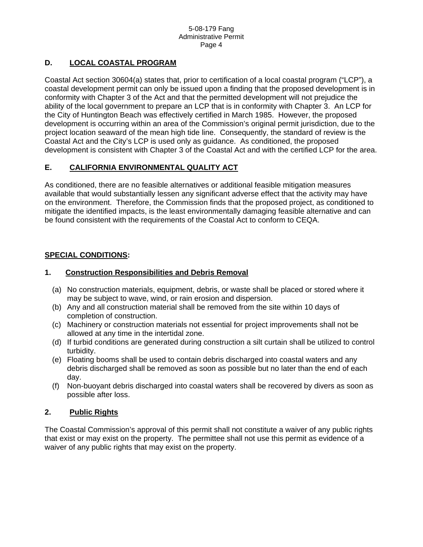# **D. LOCAL COASTAL PROGRAM**

Coastal Act section 30604(a) states that, prior to certification of a local coastal program ("LCP"), a coastal development permit can only be issued upon a finding that the proposed development is in conformity with Chapter 3 of the Act and that the permitted development will not prejudice the ability of the local government to prepare an LCP that is in conformity with Chapter 3. An LCP for the City of Huntington Beach was effectively certified in March 1985. However, the proposed development is occurring within an area of the Commission's original permit jurisdiction, due to the project location seaward of the mean high tide line. Consequently, the standard of review is the Coastal Act and the City's LCP is used only as guidance. As conditioned, the proposed development is consistent with Chapter 3 of the Coastal Act and with the certified LCP for the area.

# **E. CALIFORNIA ENVIRONMENTAL QUALITY ACT**

As conditioned, there are no feasible alternatives or additional feasible mitigation measures available that would substantially lessen any significant adverse effect that the activity may have on the environment. Therefore, the Commission finds that the proposed project, as conditioned to mitigate the identified impacts, is the least environmentally damaging feasible alternative and can be found consistent with the requirements of the Coastal Act to conform to CEQA.

## **SPECIAL CONDITIONS:**

#### **1. Construction Responsibilities and Debris Removal**

- (a) No construction materials, equipment, debris, or waste shall be placed or stored where it may be subject to wave, wind, or rain erosion and dispersion.
- (b) Any and all construction material shall be removed from the site within 10 days of completion of construction.
- (c) Machinery or construction materials not essential for project improvements shall not be allowed at any time in the intertidal zone.
- (d) If turbid conditions are generated during construction a silt curtain shall be utilized to control turbidity.
- (e) Floating booms shall be used to contain debris discharged into coastal waters and any debris discharged shall be removed as soon as possible but no later than the end of each day.
- (f) Non-buoyant debris discharged into coastal waters shall be recovered by divers as soon as possible after loss.

## **2. Public Rights**

The Coastal Commission's approval of this permit shall not constitute a waiver of any public rights that exist or may exist on the property. The permittee shall not use this permit as evidence of a waiver of any public rights that may exist on the property.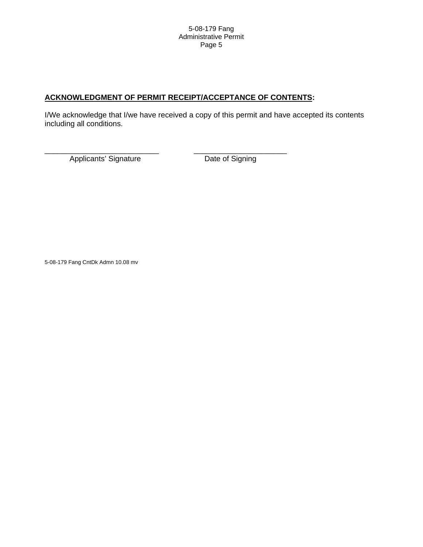### **ACKNOWLEDGMENT OF PERMIT RECEIPT/ACCEPTANCE OF CONTENTS:**

\_\_\_\_\_\_\_\_\_\_\_\_\_\_\_\_\_\_\_\_\_\_\_\_\_\_\_ \_\_\_\_\_\_\_\_\_\_\_\_\_\_\_\_\_\_\_\_\_\_

I/We acknowledge that I/we have received a copy of this permit and have accepted its contents including all conditions.

Applicants' Signature Date of Signing

5-08-179 Fang CntDk Admn 10.08 mv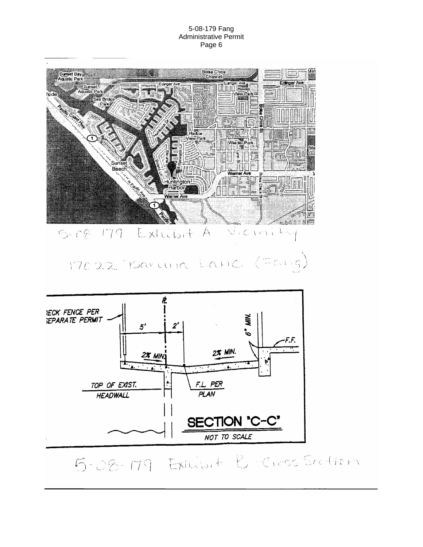#### 5-08-179 Fang Administrative Permit Page 6